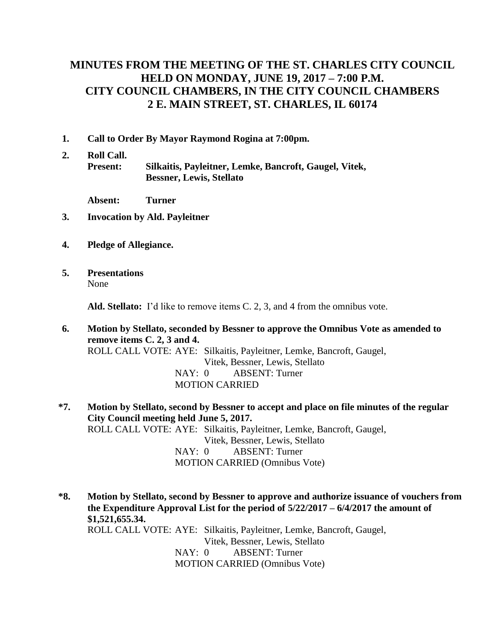# **MINUTES FROM THE MEETING OF THE ST. CHARLES CITY COUNCIL HELD ON MONDAY, JUNE 19, 2017 – 7:00 P.M. CITY COUNCIL CHAMBERS, IN THE CITY COUNCIL CHAMBERS 2 E. MAIN STREET, ST. CHARLES, IL 60174**

- **1. Call to Order By Mayor Raymond Rogina at 7:00pm.**
- **2. Roll Call. Present: Silkaitis, Payleitner, Lemke, Bancroft, Gaugel, Vitek, Bessner, Lewis, Stellato**

**Absent: Turner**

- **3. Invocation by Ald. Payleitner**
- **4. Pledge of Allegiance.**
- **5. Presentations** None

**Ald. Stellato:** I'd like to remove items C. 2, 3, and 4 from the omnibus vote.

**6. Motion by Stellato, seconded by Bessner to approve the Omnibus Vote as amended to remove items C. 2, 3 and 4.** ROLL CALL VOTE: AYE: Silkaitis, Payleitner, Lemke, Bancroft, Gaugel, Vitek, Bessner, Lewis, Stellato NAY: 0 ABSENT: Turner MOTION CARRIED

**\*7. Motion by Stellato, second by Bessner to accept and place on file minutes of the regular City Council meeting held June 5, 2017.**  ROLL CALL VOTE: AYE: Silkaitis, Payleitner, Lemke, Bancroft, Gaugel, Vitek, Bessner, Lewis, Stellato NAY: 0 ABSENT: Turner MOTION CARRIED (Omnibus Vote)

**\*8. Motion by Stellato, second by Bessner to approve and authorize issuance of vouchers from the Expenditure Approval List for the period of 5/22/2017 – 6/4/2017 the amount of \$1,521,655.34.** ROLL CALL VOTE: AYE: Silkaitis, Payleitner, Lemke, Bancroft, Gaugel, Vitek, Bessner, Lewis, Stellato NAY: 0 ABSENT: Turner MOTION CARRIED (Omnibus Vote)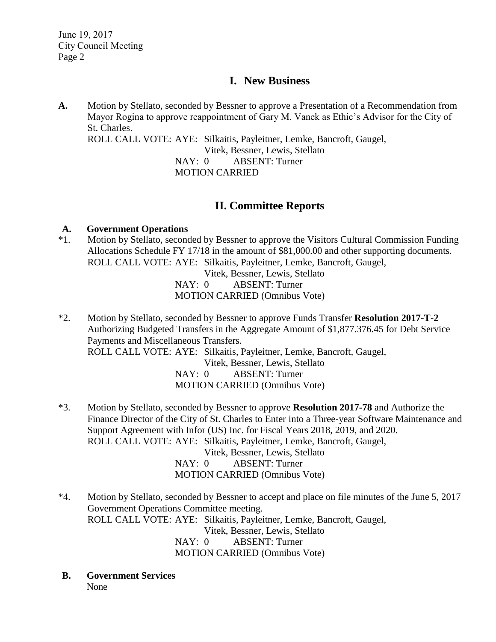## **I. New Business**

**A.** Motion by Stellato, seconded by Bessner to approve a Presentation of a Recommendation from Mayor Rogina to approve reappointment of Gary M. Vanek as Ethic's Advisor for the City of St. Charles. ROLL CALL VOTE: AYE: Silkaitis, Payleitner, Lemke, Bancroft, Gaugel, Vitek, Bessner, Lewis, Stellato NAY: 0 ABSENT: Turner MOTION CARRIED

## **II. Committee Reports**

#### **A. Government Operations**

\*1. Motion by Stellato, seconded by Bessner to approve the Visitors Cultural Commission Funding Allocations Schedule FY 17/18 in the amount of \$81,000.00 and other supporting documents. ROLL CALL VOTE: AYE: Silkaitis, Payleitner, Lemke, Bancroft, Gaugel,

Vitek, Bessner, Lewis, Stellato NAY: 0 ABSENT: Turner MOTION CARRIED (Omnibus Vote)

- \*2. Motion by Stellato, seconded by Bessner to approve Funds Transfer **Resolution 2017-T-2** Authorizing Budgeted Transfers in the Aggregate Amount of \$1,877.376.45 for Debt Service Payments and Miscellaneous Transfers. ROLL CALL VOTE: AYE: Silkaitis, Payleitner, Lemke, Bancroft, Gaugel, Vitek, Bessner, Lewis, Stellato NAY: 0 ABSENT: Turner MOTION CARRIED (Omnibus Vote)
- \*3. Motion by Stellato, seconded by Bessner to approve **Resolution 2017-78** and Authorize the Finance Director of the City of St. Charles to Enter into a Three-year Software Maintenance and Support Agreement with Infor (US) Inc. for Fiscal Years 2018, 2019, and 2020. ROLL CALL VOTE: AYE: Silkaitis, Payleitner, Lemke, Bancroft, Gaugel, Vitek, Bessner, Lewis, Stellato NAY: 0 ABSENT: Turner MOTION CARRIED (Omnibus Vote)
- \*4. Motion by Stellato, seconded by Bessner to accept and place on file minutes of the June 5, 2017 Government Operations Committee meeting. ROLL CALL VOTE: AYE: Silkaitis, Payleitner, Lemke, Bancroft, Gaugel, Vitek, Bessner, Lewis, Stellato NAY: 0 ABSENT: Turner MOTION CARRIED (Omnibus Vote)
- **B. Government Services** None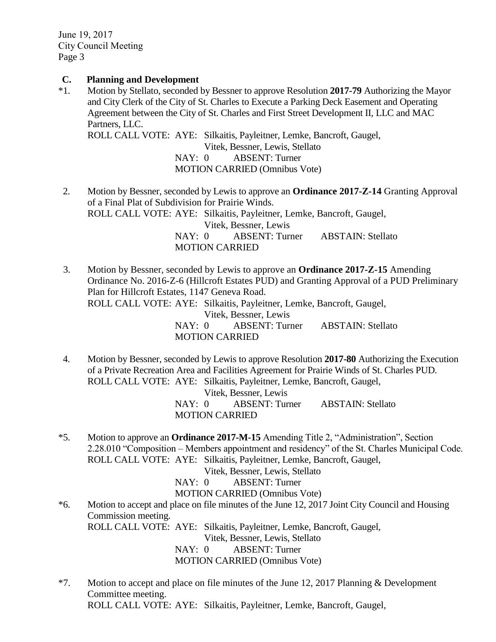June 19, 2017 City Council Meeting Page 3

#### **C. Planning and Development**

\*1. Motion by Stellato, seconded by Bessner to approve Resolution **2017-79** Authorizing the Mayor and City Clerk of the City of St. Charles to Execute a Parking Deck Easement and Operating Agreement between the City of St. Charles and First Street Development II, LLC and MAC Partners, LLC.

ROLL CALL VOTE: AYE: Silkaitis, Payleitner, Lemke, Bancroft, Gaugel, Vitek, Bessner, Lewis, Stellato

NAY: 0 ABSENT: Turner

MOTION CARRIED (Omnibus Vote)

- 2. Motion by Bessner, seconded by Lewis to approve an **Ordinance 2017-Z-14** Granting Approval of a Final Plat of Subdivision for Prairie Winds. ROLL CALL VOTE: AYE: Silkaitis, Payleitner, Lemke, Bancroft, Gaugel, Vitek, Bessner, Lewis NAY: 0 ABSENT: Turner ABSTAIN: Stellato MOTION CARRIED
- 3. Motion by Bessner, seconded by Lewis to approve an **Ordinance 2017-Z-15** Amending Ordinance No. 2016-Z-6 (Hillcroft Estates PUD) and Granting Approval of a PUD Preliminary Plan for Hillcroft Estates, 1147 Geneva Road. ROLL CALL VOTE: AYE: Silkaitis, Payleitner, Lemke, Bancroft, Gaugel, Vitek, Bessner, Lewis NAY: 0 ABSENT: Turner ABSTAIN: Stellato MOTION CARRIED
- 4. Motion by Bessner, seconded by Lewis to approve Resolution **2017-80** Authorizing the Execution of a Private Recreation Area and Facilities Agreement for Prairie Winds of St. Charles PUD. ROLL CALL VOTE: AYE: Silkaitis, Payleitner, Lemke, Bancroft, Gaugel,

Vitek, Bessner, Lewis NAY: 0 ABSENT: Turner ABSTAIN: Stellato MOTION CARRIED

\*5. Motion to approve an **Ordinance 2017-M-15** Amending Title 2, "Administration", Section 2.28.010 "Composition – Members appointment and residency" of the St. Charles Municipal Code. ROLL CALL VOTE: AYE: Silkaitis, Payleitner, Lemke, Bancroft, Gaugel,

Vitek, Bessner, Lewis, Stellato

NAY: 0 ABSENT: Turner

MOTION CARRIED (Omnibus Vote)

\*6. Motion to accept and place on file minutes of the June 12, 2017 Joint City Council and Housing Commission meeting.

ROLL CALL VOTE: AYE: Silkaitis, Payleitner, Lemke, Bancroft, Gaugel,

Vitek, Bessner, Lewis, Stellato

NAY: 0 ABSENT: Turner MOTION CARRIED (Omnibus Vote)

\*7. Motion to accept and place on file minutes of the June 12, 2017 Planning & Development Committee meeting. ROLL CALL VOTE: AYE: Silkaitis, Payleitner, Lemke, Bancroft, Gaugel,